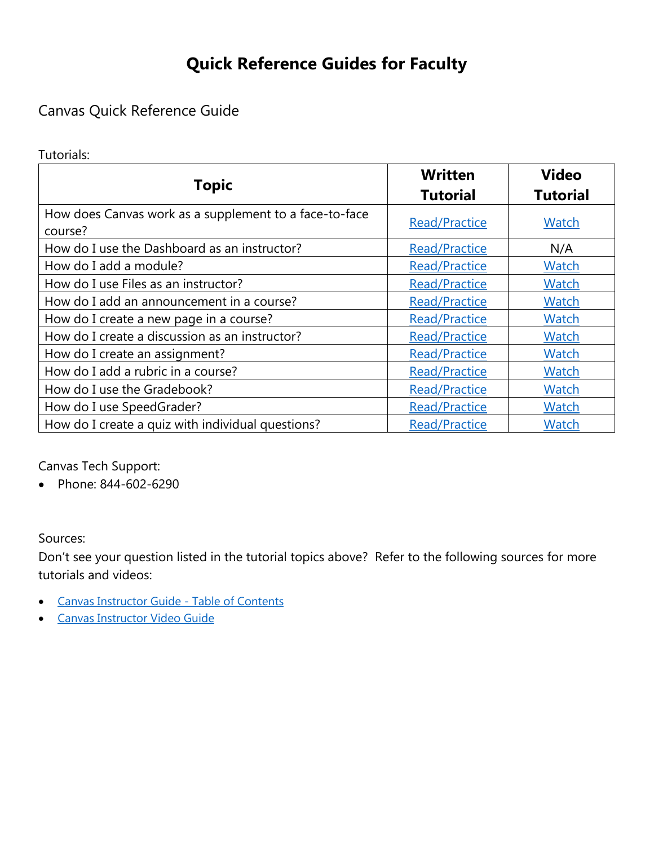# **Quick Reference Guides for Faculty**

## Canvas Quick Reference Guide

Tutorials:

| <b>Topic</b>                                                      | <b>Written</b><br><b>Tutorial</b> | <b>Video</b><br><b>Tutorial</b> |
|-------------------------------------------------------------------|-----------------------------------|---------------------------------|
| How does Canvas work as a supplement to a face-to-face<br>course? | <b>Read/Practice</b>              | Watch                           |
| How do I use the Dashboard as an instructor?                      | <b>Read/Practice</b>              | N/A                             |
| How do I add a module?                                            | <b>Read/Practice</b>              | <b>Watch</b>                    |
| How do I use Files as an instructor?                              | <b>Read/Practice</b>              | Watch                           |
| How do I add an announcement in a course?                         | <b>Read/Practice</b>              | <b>Watch</b>                    |
| How do I create a new page in a course?                           | <b>Read/Practice</b>              | <b>Watch</b>                    |
| How do I create a discussion as an instructor?                    | <b>Read/Practice</b>              | <b>Watch</b>                    |
| How do I create an assignment?                                    | <b>Read/Practice</b>              | Watch                           |
| How do I add a rubric in a course?                                | <b>Read/Practice</b>              | <b>Watch</b>                    |
| How do I use the Gradebook?                                       | <b>Read/Practice</b>              | <b>Watch</b>                    |
| How do I use SpeedGrader?                                         | <b>Read/Practice</b>              | Watch                           |
| How do I create a quiz with individual questions?                 | <b>Read/Practice</b>              | <b>Watch</b>                    |

Canvas Tech Support:

• Phone: 844-602-6290

Sources:

Don't see your question listed in the tutorial topics above? Refer to the following sources for more tutorials and videos:

- [Canvas Instructor Guide -](https://community.canvaslms.com/docs/DOC-10460-canvas-instructor-guide-table-of-contents) Table of Contents
- [Canvas Instructor Video Guide](https://community.canvaslms.com/community/answers/guides/video-guide#jive_content_id_Instructors)